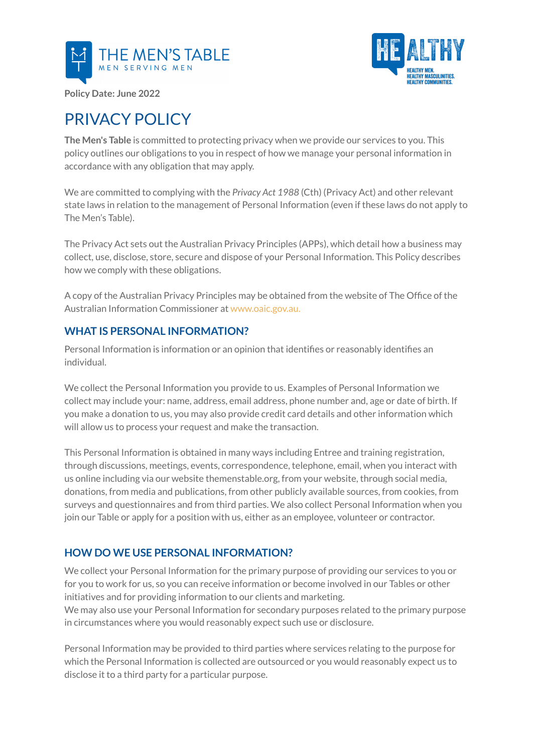



**Policy Date: June 2022**

# PRIVACY POLICY

**The Men's Table** is committed to protecting privacy when we provide our services to you. This policy outlines our obligations to you in respect of how we manage your personal information in accordance with any obligation that may apply.

We are committed to complying with the *Privacy Act 1988* (Cth) (Privacy Act) and other relevant state laws in relation to the management of Personal Information (even if these laws do not apply to The Men's Table).

The Privacy Act sets out the Australian Privacy Principles (APPs), which detail how a business may collect, use, disclose, store, secure and dispose of your Personal Information. This Policy describes how we comply with these obligations.

A copy of the Australian Privacy Principles may be obtained from the website of The Office of the Australian Information Commissioner at www.oaic.gov.au.

### **WHAT IS PERSONAL INFORMATION?**

Personal Information is information or an opinion that identifies or reasonably identifies an individual.

We collect the Personal Information you provide to us. Examples of Personal Information we collect may include your: name, address, email address, phone number and, age or date of birth. If you make a donation to us, you may also provide credit card details and other information which will allow us to process your request and make the transaction.

This Personal Information is obtained in many ways including Entree and training registration, through discussions, meetings, events, correspondence, telephone, email, when you interact with us online including via our website themenstable.org, from your website, through social media, donations, from media and publications, from other publicly available sources, from cookies, from surveys and questionnaires and from third parties. We also collect Personal Information when you join our Table or apply for a position with us, either as an employee, volunteer or contractor.

## **HOW DO WE USE PERSONAL INFORMATION?**

We collect your Personal Information for the primary purpose of providing our services to you or for you to work for us, so you can receive information or become involved in our Tables or other initiatives and for providing information to our clients and marketing. We may also use your Personal Information for secondary purposes related to the primary purpose in circumstances where you would reasonably expect such use or disclosure.

Personal Information may be provided to third parties where services relating to the purpose for which the Personal Information is collected are outsourced or you would reasonably expect us to disclose it to a third party for a particular purpose.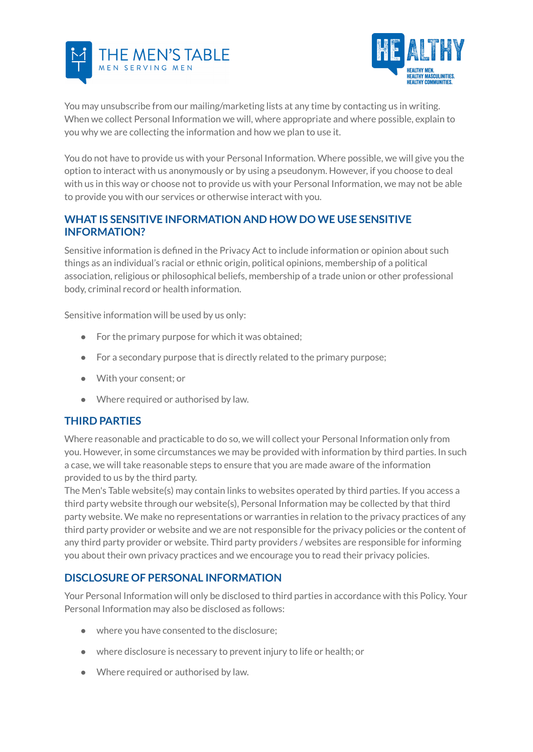



You may unsubscribe from our mailing/marketing lists at any time by contacting us in writing. When we collect Personal Information we will, where appropriate and where possible, explain to you why we are collecting the information and how we plan to use it.

You do not have to provide us with your Personal Information. Where possible, we will give you the option to interact with us anonymously or by using a pseudonym. However, if you choose to deal with us in this way or choose not to provide us with your Personal Information, we may not be able to provide you with our services or otherwise interact with you.

## **WHAT IS SENSITIVE INFORMATION AND HOW DO WE USE SENSITIVE INFORMATION?**

Sensitive information is defined in the Privacy Act to include information or opinion about such things as an individual's racial or ethnic origin, political opinions, membership of a political association, religious or philosophical beliefs, membership of a trade union or other professional body, criminal record or health information.

Sensitive information will be used by us only:

- For the primary purpose for which it was obtained;
- For a secondary purpose that is directly related to the primary purpose;
- With your consent; or
- Where required or authorised by law.

### **THIRD PARTIES**

Where reasonable and practicable to do so, we will collect your Personal Information only from you. However, in some circumstances we may be provided with information by third parties. In such a case, we will take reasonable steps to ensure that you are made aware of the information provided to us by the third party.

The Men's Table website(s) may contain links to websites operated by third parties. If you access a third party website through our website(s), Personal Information may be collected by that third party website. We make no representations or warranties in relation to the privacy practices of any third party provider or website and we are not responsible for the privacy policies or the content of any third party provider or website. Third party providers / websites are responsible for informing you about their own privacy practices and we encourage you to read their privacy policies.

### **DISCLOSURE OF PERSONAL INFORMATION**

Your Personal Information will only be disclosed to third parties in accordance with this Policy. Your Personal Information may also be disclosed as follows:

- where you have consented to the disclosure;
- where disclosure is necessary to prevent injury to life or health; or
- Where required or authorised by law.